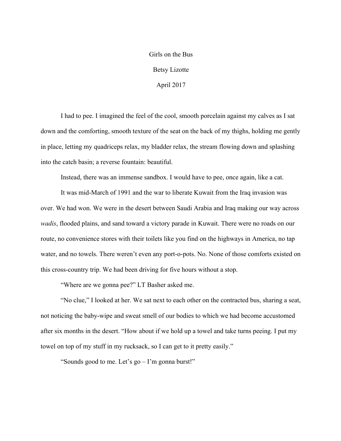## Girls on the Bus Betsy Lizotte April 2017

I had to pee. I imagined the feel of the cool, smooth porcelain against my calves as I sat down and the comforting, smooth texture of the seat on the back of my thighs, holding me gently in place, letting my quadriceps relax, my bladder relax, the stream flowing down and splashing into the catch basin; a reverse fountain: beautiful.

Instead, there was an immense sandbox. I would have to pee, once again, like a cat.

It was mid-March of 1991 and the war to liberate Kuwait from the Iraq invasion was over. We had won. We were in the desert between Saudi Arabia and Iraq making our way across *wadis*, flooded plains, and sand toward a victory parade in Kuwait. There were no roads on our route, no convenience stores with their toilets like you find on the highways in America, no tap water, and no towels. There weren't even any port-o-pots. No. None of those comforts existed on this cross-country trip. We had been driving for five hours without a stop.

"Where are we gonna pee?" LT Basher asked me.

"No clue," I looked at her. We sat next to each other on the contracted bus, sharing a seat, not noticing the baby-wipe and sweat smell of our bodies to which we had become accustomed after six months in the desert. "How about if we hold up a towel and take turns peeing. I put my towel on top of my stuff in my rucksack, so I can get to it pretty easily."

"Sounds good to me. Let's go – I'm gonna burst!"